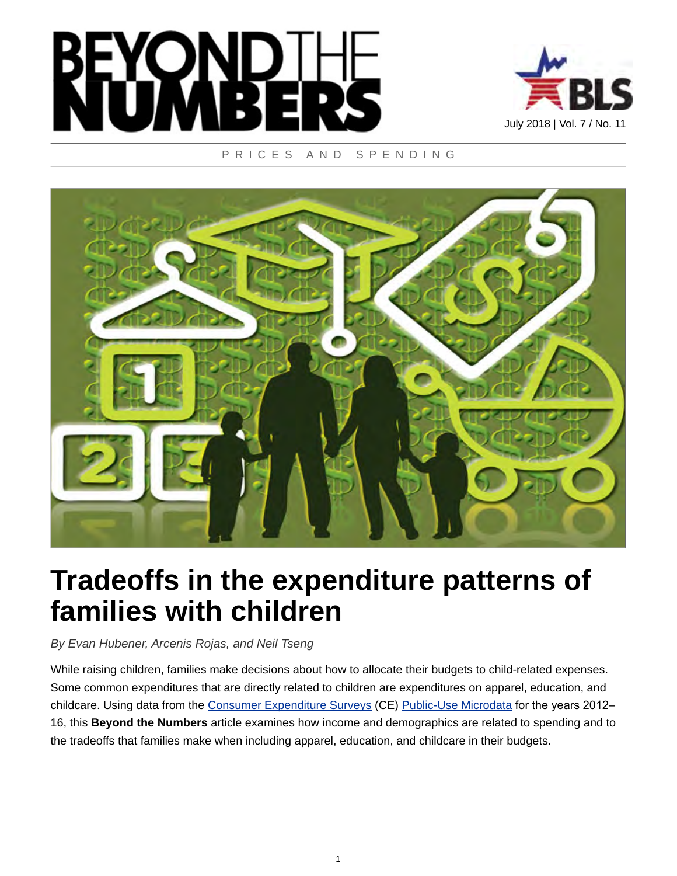



#### PRICES AND SPENDING



# **Tradeoffs in the expenditure patterns of families with children**

*By Evan Hubener, Arcenis Rojas, and Neil Tseng*

While raising children, families make decisions about how to allocate their budgets to child-related expenses. Some common expenditures that are directly related to children are expenditures on apparel, education, and childcare. Using data from the [Consumer Expenditure Surveys](https://www.bls.gov/cex/) (CE) [Public-Use Microdata](https://www.bls.gov/cex/pumd.htm) for the years 2012-16, this **Beyond the Numbers** article examines how income and demographics are related to spending and to the tradeoffs that families make when including apparel, education, and childcare in their budgets.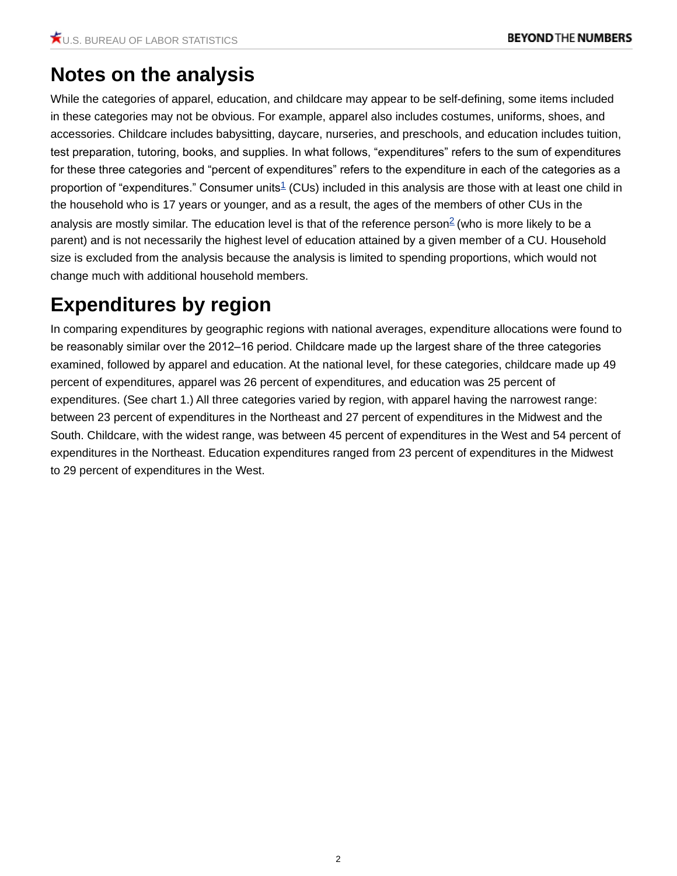# **Notes on the analysis**

<span id="page-1-0"></span>While the categories of apparel, education, and childcare may appear to be self-defining, some items included in these categories may not be obvious. For example, apparel also includes costumes, uniforms, shoes, and accessories. Childcare includes babysitting, daycare, nurseries, and preschools, and education includes tuition, test preparation, tutoring, books, and supplies. In what follows, "expenditures" refers to the sum of expenditures for these three categories and "percent of expenditures" refers to the expenditure in each of the categories as a proportion of "expenditures." Consumer units<sup>[1](#page-10-0)</sup> (CUs) included in this analysis are those with at least one child in the household who is 17 years or younger, and as a result, the ages of the members of other CUs in the analysis are mostly similar. The education level is that of the reference person<sup>[2](#page-10-1)</sup> (who is more likely to be a parent) and is not necessarily the highest level of education attained by a given member of a CU. Household size is excluded from the analysis because the analysis is limited to spending proportions, which would not change much with additional household members.

# <span id="page-1-1"></span>**Expenditures by region**

In comparing expenditures by geographic regions with national averages, expenditure allocations were found to be reasonably similar over the 2012–16 period. Childcare made up the largest share of the three categories examined, followed by apparel and education. At the national level, for these categories, childcare made up 49 percent of expenditures, apparel was 26 percent of expenditures, and education was 25 percent of expenditures. (See chart 1.) All three categories varied by region, with apparel having the narrowest range: between 23 percent of expenditures in the Northeast and 27 percent of expenditures in the Midwest and the South. Childcare, with the widest range, was between 45 percent of expenditures in the West and 54 percent of expenditures in the Northeast. Education expenditures ranged from 23 percent of expenditures in the Midwest to 29 percent of expenditures in the West.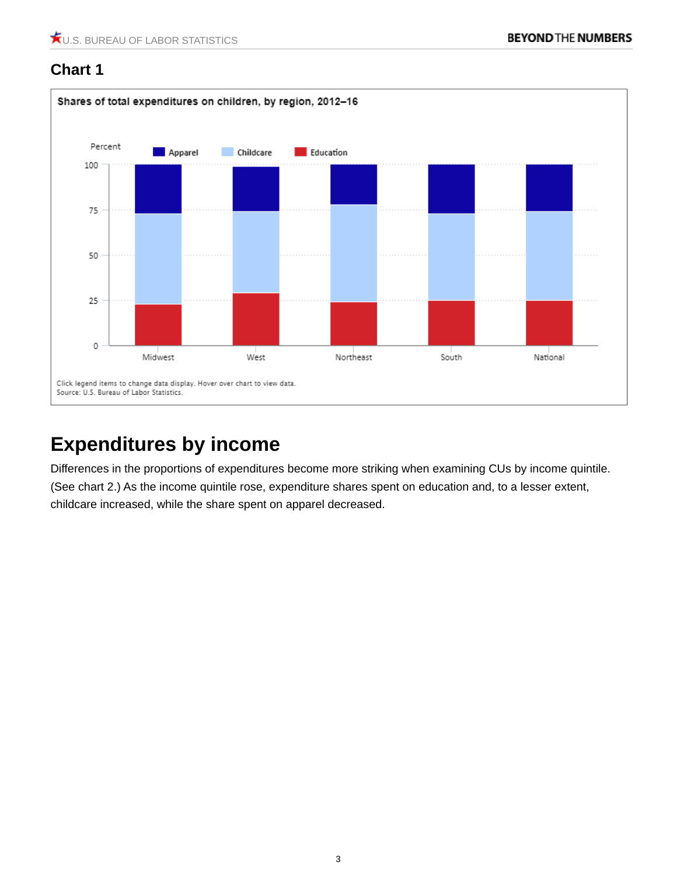

# **Expenditures by income**

Differences in the proportions of expenditures become more striking when examining CUs by income quintile. (See chart 2.) As the income quintile rose, expenditure shares spent on education and, to a lesser extent, childcare increased, while the share spent on apparel decreased.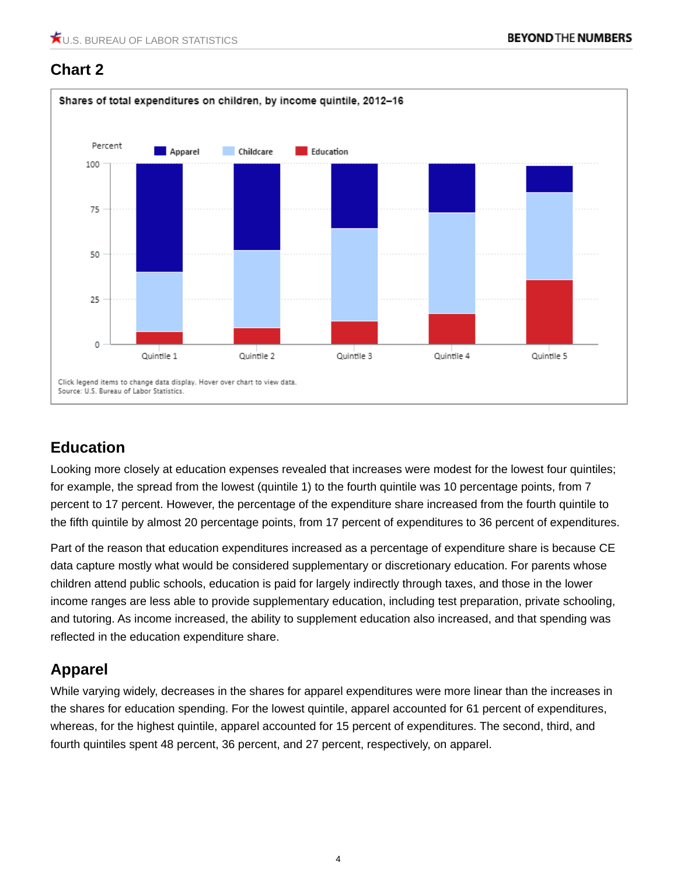

#### **Education**

Looking more closely at education expenses revealed that increases were modest for the lowest four quintiles; for example, the spread from the lowest (quintile 1) to the fourth quintile was 10 percentage points, from 7 percent to 17 percent. However, the percentage of the expenditure share increased from the fourth quintile to the fifth quintile by almost 20 percentage points, from 17 percent of expenditures to 36 percent of expenditures.

Part of the reason that education expenditures increased as a percentage of expenditure share is because CE data capture mostly what would be considered supplementary or discretionary education. For parents whose children attend public schools, education is paid for largely indirectly through taxes, and those in the lower income ranges are less able to provide supplementary education, including test preparation, private schooling, and tutoring. As income increased, the ability to supplement education also increased, and that spending was reflected in the education expenditure share.

#### **Apparel**

While varying widely, decreases in the shares for apparel expenditures were more linear than the increases in the shares for education spending. For the lowest quintile, apparel accounted for 61 percent of expenditures, whereas, for the highest quintile, apparel accounted for 15 percent of expenditures. The second, third, and fourth quintiles spent 48 percent, 36 percent, and 27 percent, respectively, on apparel.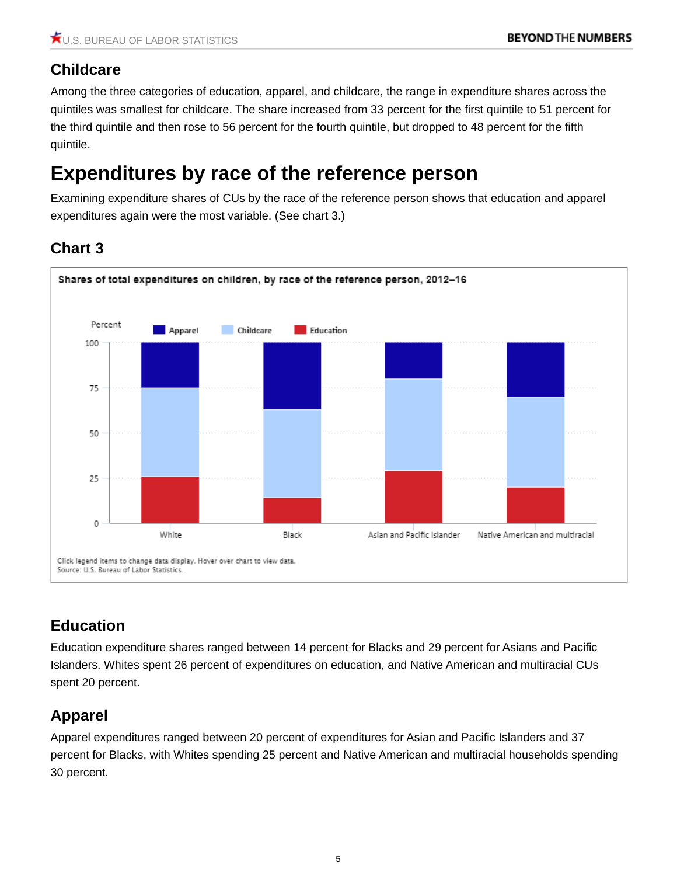#### **Childcare**

Among the three categories of education, apparel, and childcare, the range in expenditure shares across the quintiles was smallest for childcare. The share increased from 33 percent for the first quintile to 51 percent for the third quintile and then rose to 56 percent for the fourth quintile, but dropped to 48 percent for the fifth quintile.

# **Expenditures by race of the reference person**

Examining expenditure shares of CUs by the race of the reference person shows that education and apparel expenditures again were the most variable. (See chart 3.)

### **Chart 3**



## **Education**

Education expenditure shares ranged between 14 percent for Blacks and 29 percent for Asians and Pacific Islanders. Whites spent 26 percent of expenditures on education, and Native American and multiracial CUs spent 20 percent.

## **Apparel**

Apparel expenditures ranged between 20 percent of expenditures for Asian and Pacific Islanders and 37 percent for Blacks, with Whites spending 25 percent and Native American and multiracial households spending 30 percent.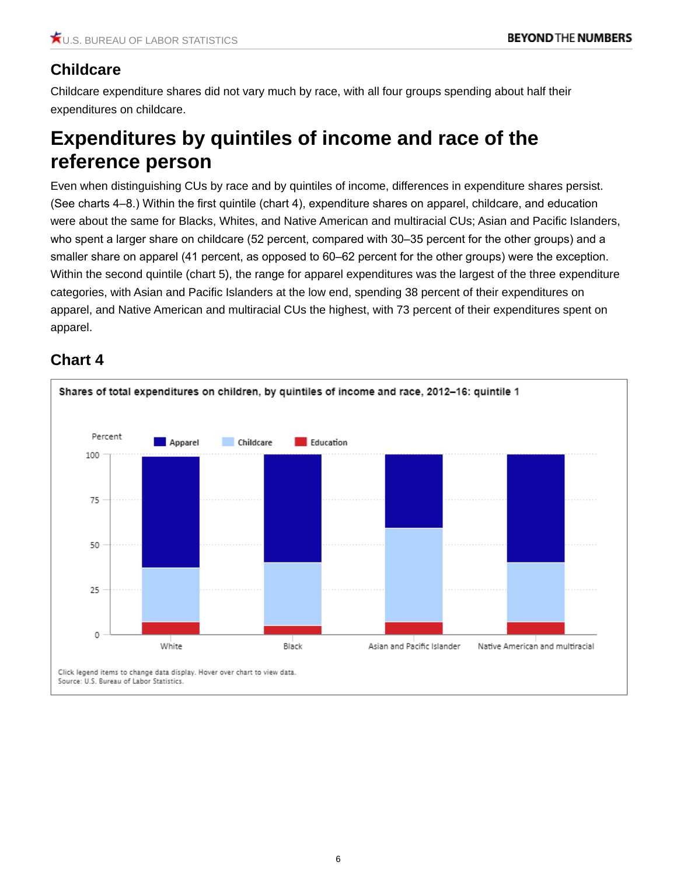### **Childcare**

Childcare expenditure shares did not vary much by race, with all four groups spending about half their expenditures on childcare.

# **Expenditures by quintiles of income and race of the reference person**

Even when distinguishing CUs by race and by quintiles of income, differences in expenditure shares persist. (See charts 4–8.) Within the first quintile (chart 4), expenditure shares on apparel, childcare, and education were about the same for Blacks, Whites, and Native American and multiracial CUs; Asian and Pacific Islanders, who spent a larger share on childcare (52 percent, compared with 30–35 percent for the other groups) and a smaller share on apparel (41 percent, as opposed to 60–62 percent for the other groups) were the exception. Within the second quintile (chart 5), the range for apparel expenditures was the largest of the three expenditure categories, with Asian and Pacific Islanders at the low end, spending 38 percent of their expenditures on apparel, and Native American and multiracial CUs the highest, with 73 percent of their expenditures spent on apparel.

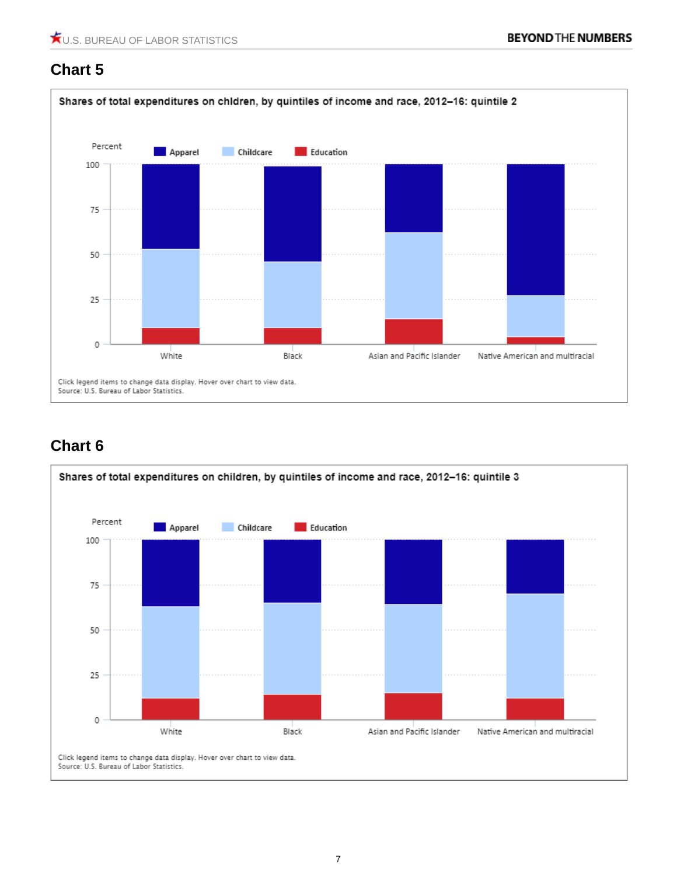

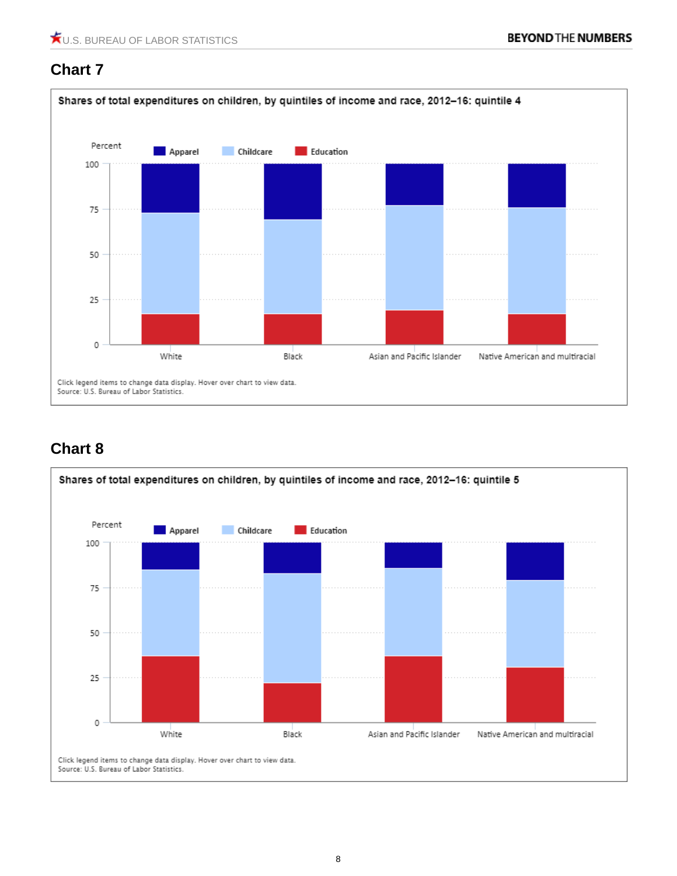

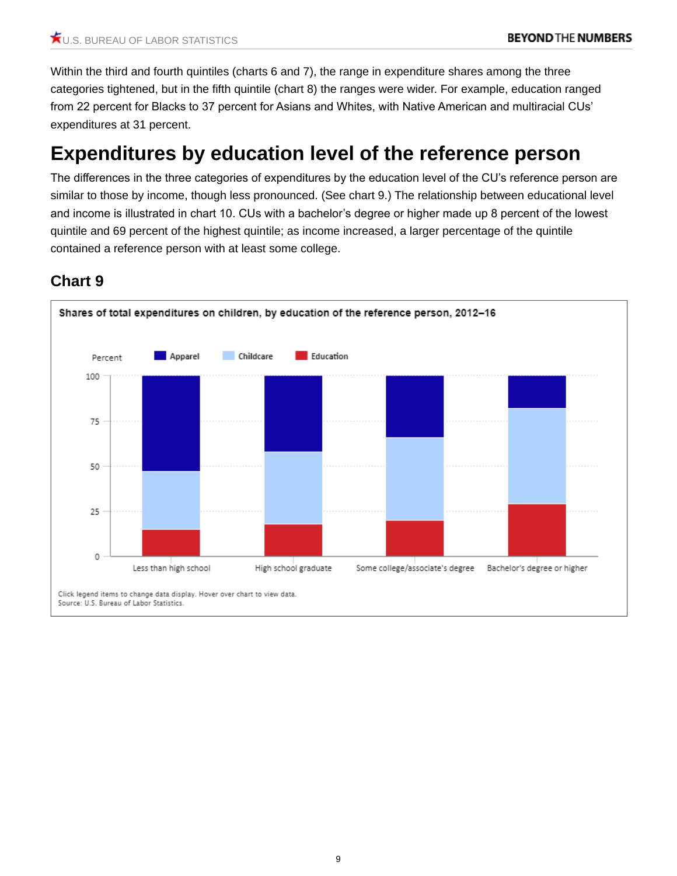Within the third and fourth quintiles (charts 6 and 7), the range in expenditure shares among the three categories tightened, but in the fifth quintile (chart 8) the ranges were wider. For example, education ranged from 22 percent for Blacks to 37 percent for Asians and Whites, with Native American and multiracial CUs' expenditures at 31 percent.

# **Expenditures by education level of the reference person**

The differences in the three categories of expenditures by the education level of the CU's reference person are similar to those by income, though less pronounced. (See chart 9.) The relationship between educational level and income is illustrated in chart 10. CUs with a bachelor's degree or higher made up 8 percent of the lowest quintile and 69 percent of the highest quintile; as income increased, a larger percentage of the quintile contained a reference person with at least some college.

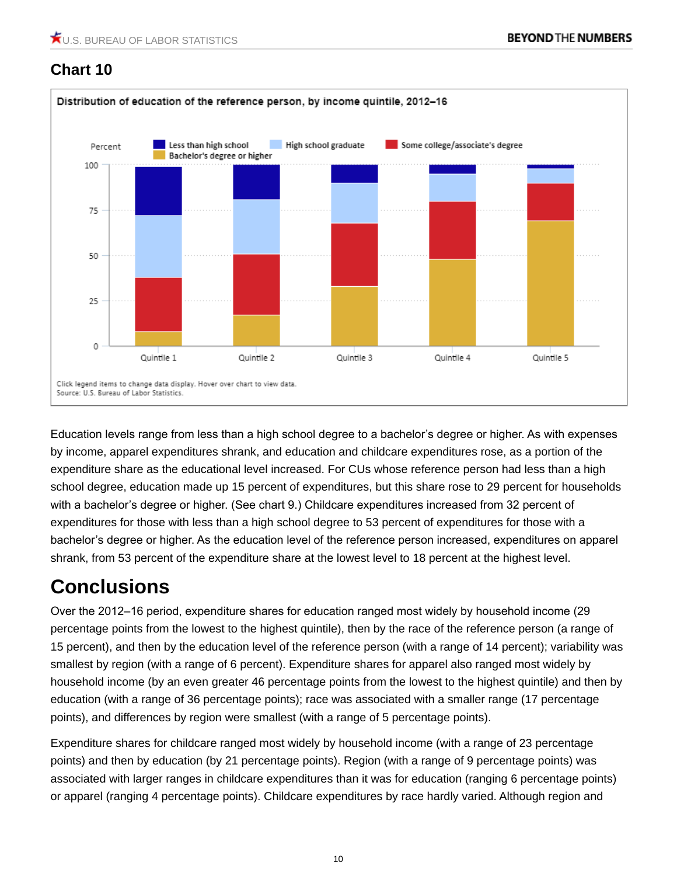

Education levels range from less than a high school degree to a bachelor's degree or higher. As with expenses by income, apparel expenditures shrank, and education and childcare expenditures rose, as a portion of the expenditure share as the educational level increased. For CUs whose reference person had less than a high school degree, education made up 15 percent of expenditures, but this share rose to 29 percent for households with a bachelor's degree or higher. (See chart 9.) Childcare expenditures increased from 32 percent of expenditures for those with less than a high school degree to 53 percent of expenditures for those with a bachelor's degree or higher. As the education level of the reference person increased, expenditures on apparel shrank, from 53 percent of the expenditure share at the lowest level to 18 percent at the highest level.

# **Conclusions**

Over the 2012–16 period, expenditure shares for education ranged most widely by household income (29 percentage points from the lowest to the highest quintile), then by the race of the reference person (a range of 15 percent), and then by the education level of the reference person (with a range of 14 percent); variability was smallest by region (with a range of 6 percent). Expenditure shares for apparel also ranged most widely by household income (by an even greater 46 percentage points from the lowest to the highest quintile) and then by education (with a range of 36 percentage points); race was associated with a smaller range (17 percentage points), and differences by region were smallest (with a range of 5 percentage points).

Expenditure shares for childcare ranged most widely by household income (with a range of 23 percentage points) and then by education (by 21 percentage points). Region (with a range of 9 percentage points) was associated with larger ranges in childcare expenditures than it was for education (ranging 6 percentage points) or apparel (ranging 4 percentage points). Childcare expenditures by race hardly varied. Although region and